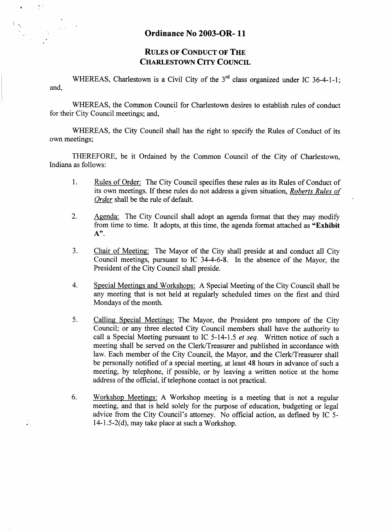## **Ordinance No 2003-OR- 11**

**I** 

 $\frac{1}{\pi}$ 

## **RULES OF CONDUCT OF THE CHARLESTOWN CITY COUNCIL**

WHEREAS, Charlestown is a Civil City of the 3<sup>rd</sup> class organized under IC 36-4-1-1; and,

WHEREAS, the Common Council for Charlestown desires to establish rules of conduct for their City Council meetings; and,

WHEREAS, the City Council shall has the right to specify the Rules of Conduct of its own meetings;

THEREFORE, be it Ordained by the Common Council of the City of Charlestown, Indiana as follows:

- 1. Rules of Order: The City Council specifies these rules **as** its Rules of Conduct of its own meetings. If these rules do not address a given situation, *Roberts Rules of Order* shall be the **rule** of default.
- Agenda: The City Council shall adopt an agenda format that they may modify from time to time. It adopts, at this time, the agenda format attached **as "Exhibit A".**  2.
- Chair of Meeting: The Mayor of the City shall preside at and conduct all City Council meetings, pursuant to IC 34-4-6-8. In the absence of the Mayor, the President of the City Council shall preside. 3.
- Special Meetings and Workshops: A Special Meeting of the City Council shall be any meeting that is not held at regularly scheduled times on the first and third Mondays of the month. 4.
- Calling Special Meetings: The Mayor, the President pro tempore of the City Council; or any three elected City Council members shall have the authority to call a Special Meeting pursuant to IC 5-14-1.5 *et seq.* Written notice of such a meeting shall be served on the Clerk/Treasurer and published in accordance with law. Each member of the City Council, the Mayor, and the Clerk/Treasurer shall be personally notified of a special meeting, at least 48 hours in advance of such a meeting, by telephone, if possible, or by leaving a written notice at the home address of the official, if telephone contact is not practical. *5.*
- Workshop Meetings: A Workshop meeting is a meeting that is not a regular meeting, and that is held solely for the purpose of education, budgeting or legal advice from the City Council's attorney. No official action, as defined by IC *5-*  14-1.5-2(d), may take place at such a Workshop. 6.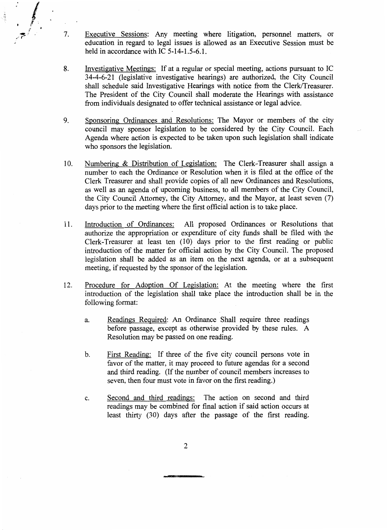**7.** Executive Sessions: Any meeting where litigation, personnel matters, or education in regard to legal issues is allowed as an Executive Session must be held in accordance with IC 5-14-1.5-6.1.

- Investigative Meetings: If at a regular or special meeting, actions pursuant to IC 34-4-6-2 1 (legislative investigative hearings) are authorized, the City Council shall schedule said Investigative Hearings with notice from the Clerk/Treasurer. The President of the City Council shall moderate the Hearings with assistance from individuals designated to offer technical assistance or legal advice. **8.**
- Sponsoring Ordinances and Resolutions: The Mayor or members of the city council may sponsor legislation to be considered by the City Council. Each Agenda where action is expected to be taken upon such legislation shall indicate who sponsors the legislation. *9.*
- Numbering & Distribution of Legislation: The Clerk-Treasurer shall assign a number to each the Ordinance or Resolution when it is filed at the office of the Clerk Treasurer and shall provide copies of all new Ordinances and Resolutions, as well as an agenda of upcoming business, to all members of the City Council, the City Council Attorney, the City Attorney, and the Mayor, at least seven (7) days prior to the meeting where the first official action is to take place. 10.
- Introduction of Ordinances: All proposed Ordinances or Resolutions that authorize the appropriation or expenditure of city funds shall be filed with the Clerk-Treasurer at least ten (10) days prior to the first reading or public introduction of the matter for official action by the City Council. The proposed legislation shall be added as an item on the next agenda, or at a subsequent meeting, if requested by the sponsor of the legislation. 11.
- 12. Procedure for Adoption Of Legislation: At the meeting where the first introduction of the legislation shall take place the introduction shall be in the following format:
	- a. Readings Required: An Ordinance Shall require three readings before passage, except as otherwise provided by these rules. A Resolution may be passed on one reading.
	- First Reading: If three of the five city council persons vote in favor of the matter, it may proceed to future agendas for a second and third reading. (If the number of council members increases to seven, then four must vote in favor on the first reading.) b.
	- Second and third readings: The action on second and third readings may be combined for final action if said action occurs at least thirty (30) days after the passage of the first reading. C.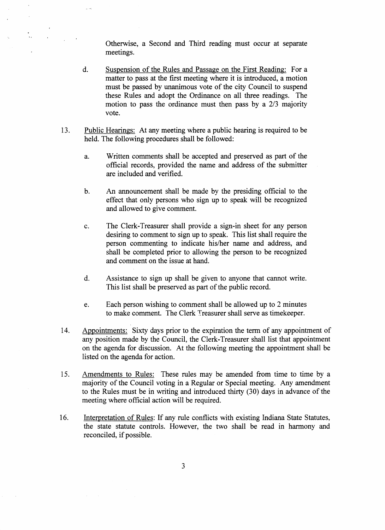Otherwise, a Second and Third reading must occur at separate meetings.

- Suspension of the Rules and Passage on the First Reading: For a matter to pass at the first meeting where it is introduced, a motion must be passed by unanimous vote of the city Council to suspend these Rules and adopt the Ordinance on all three readings. The motion to pass the ordinance must then pass by a 2/3 majority vote. d.
- 13. Public Hearings: At any meeting where a public hearing is required to be held. The following procedures shall be followed:
	- a. Written comments shall be accepted and preserved as part of the official records, provided the name and address of the submitter are included and verified.
	- An announcement shall be made by the presiding official to the effect that only persons who sign up to speak will be recognized and allowed to give comment. b.
	- The Clerk-Treasurer shall provide a sign-in sheet for any person desiring to comment to sign up to speak. This list shall require the person commenting to indicate his/her name and address, and shall be completed prior to allowing the person to be recognized and comment on the issue at hand. c.
	- Assistance to sign up shall be given to anyone that cannot write. This list shall be preserved as part of the public record. d.
	- Each person wishing to comment shall be allowed up to 2 minutes to make comment. The Clerk Treasurer shall serve as timekeeper. e.
- 14. Appointments: Sixty days prior to the expiration the term of any appointment of any position made by the Council, the Clerk-Treasurer shall list that appointment on the agenda for discussion. At the following meeting the appointment shall be listed on the agenda for action.
- Amendments to Rules: These rules may be amended from time to time by a majority of the Council voting in a Regular or Special meeting. Any amendment to the Rules must be in writing and introduced thirty (30) days in advance of the meeting where official action will be required. 15.
- Interpretation of Rules: If any rule conflicts with existing Indiana State Statutes, the state statute controls. However, the two shall be read in harmony and reconciled, if possible. 16.